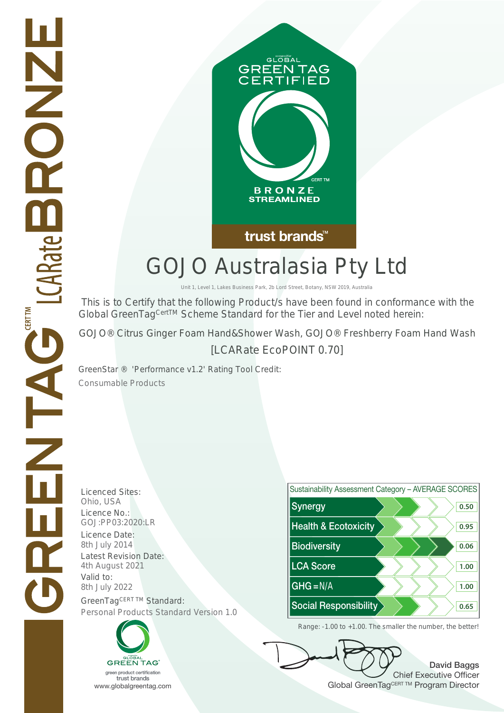

## GOJO Australasia Pty Ltd

Unit 1, Level 1, Lakes Business Park, 2b Lord Street, Botany, NSW 2019, Australia

 This is to Certify that the following Product/s have been found in conformance with the Global GreenTag<sup>CertTM</sup> Scheme Standard for the Tier and Level noted herein:

GOJO® Citrus Ginger Foam Hand&Shower Wash, GOJO® Freshberry Foam Hand Wash

[LCARate EcoPOINT 0.70]

GreenStar ® 'Performance v1.2' Rating Tool Credit: Consumable Products

**HNNOC** 

TAG ICARate B

**CERT TM** 

Licenced Sites: Valid to:





David Baggs Chief Executive Officer WWW.globalgreentag.com Web States and Changes and Changes and Changes and Changes and Changes and Changes and Changes and Changes and Changes and Changes and Changes and Changes and Changes and Changes and Changes and Chan